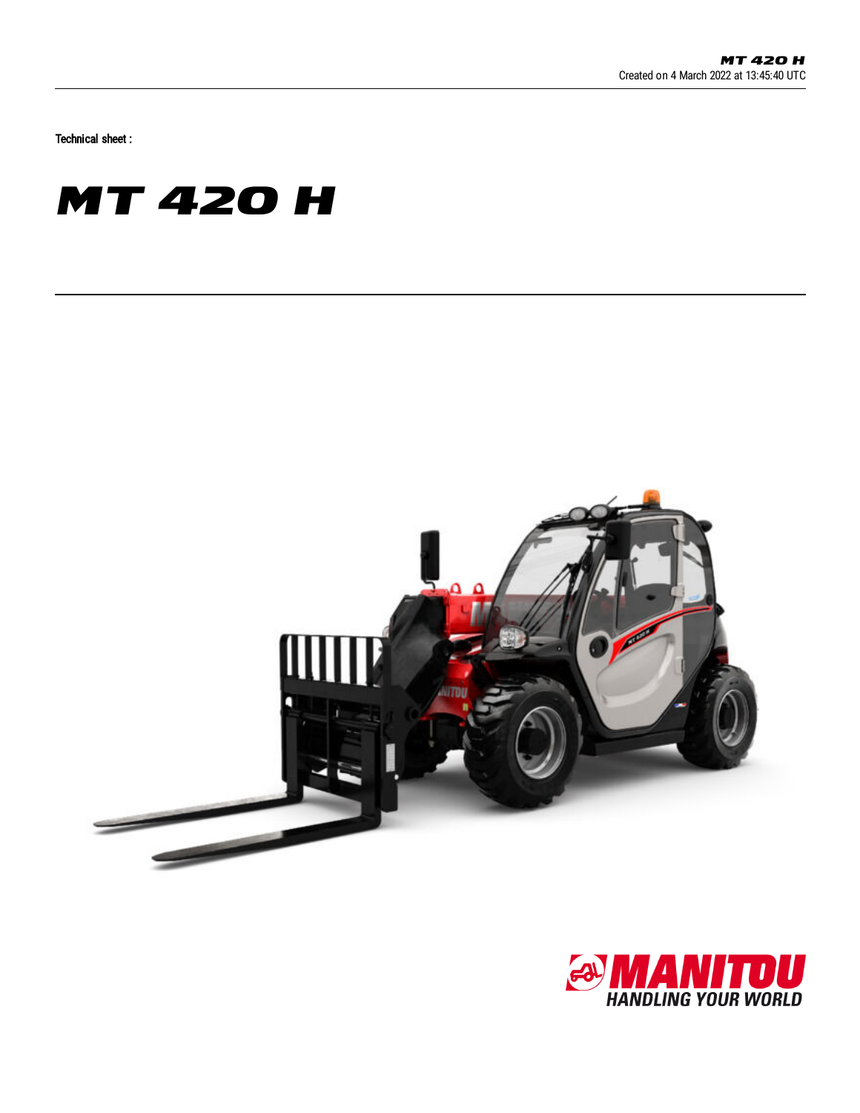Technical sheet :

## **MT 420 H**



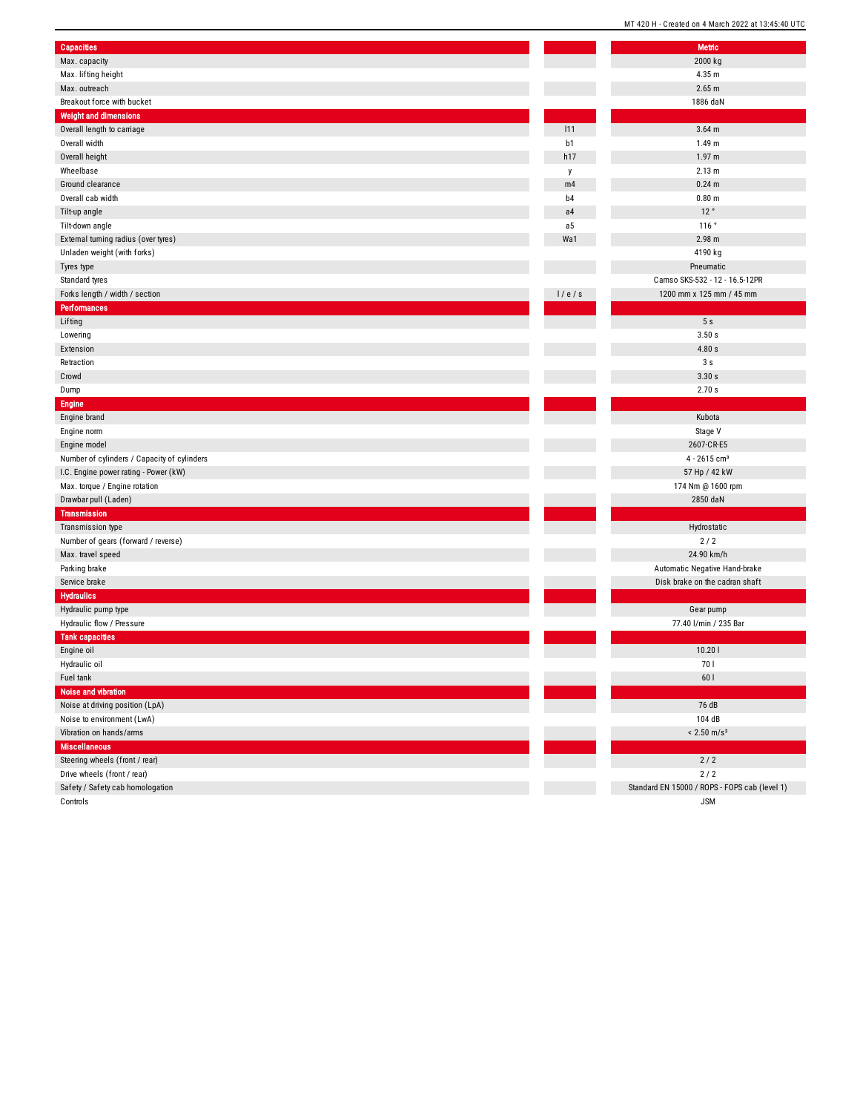| <b>Capacities</b>                           |       | <b>Metric</b>                                 |
|---------------------------------------------|-------|-----------------------------------------------|
| Max. capacity                               |       | 2000 kg                                       |
| Max. lifting height                         |       | 4.35 m                                        |
| Max. outreach                               |       | 2.65 m                                        |
| Breakout force with bucket                  |       | 1886 daN                                      |
| <b>Weight and dimensions</b>                |       |                                               |
| Overall length to carriage                  | 111   | $3.64$ m                                      |
| Overall width                               | b1    | 1.49 m                                        |
| Overall height                              | h17   | 1.97 m                                        |
| Wheelbase                                   | y     | 2.13 m                                        |
| Ground clearance                            | m4    | $0.24$ m                                      |
| Overall cab width                           | b4    | 0.80 <sub>m</sub>                             |
| Tilt-up angle                               | a4    | 12°                                           |
| Tilt-down angle                             | a5    | 116°                                          |
| External turning radius (over tyres)        | Wa1   | 2.98 m                                        |
| Unladen weight (with forks)                 |       | 4190 kg                                       |
| Tyres type                                  |       | Pneumatic                                     |
| Standard tyres                              |       | Camso SKS-532 - 12 - 16.5-12PR                |
| Forks length / width / section              | 1/e/s | 1200 mm x 125 mm / 45 mm                      |
| <b>Performances</b>                         |       |                                               |
| Lifting                                     |       | 5s                                            |
| Lowering                                    |       | 3.50 s                                        |
| Extension                                   |       | 4.80s                                         |
| Retraction                                  |       | 3s                                            |
| Crowd                                       |       | 3.30 s                                        |
| Dump                                        |       | 2.70 s                                        |
| <b>Engine</b>                               |       |                                               |
| Engine brand                                |       | Kubota                                        |
| Engine norm                                 |       | Stage V                                       |
| Engine model                                |       | 2607-CR-E5                                    |
| Number of cylinders / Capacity of cylinders |       | $4 - 2615$ cm <sup>3</sup>                    |
| I.C. Engine power rating - Power (kW)       |       | 57 Hp / 42 kW                                 |
| Max. torque / Engine rotation               |       | 174 Nm @ 1600 rpm                             |
| Drawbar pull (Laden)                        |       | 2850 daN                                      |
| <b>Transmission</b>                         |       |                                               |
| Transmission type                           |       | Hydrostatic                                   |
| Number of gears (forward / reverse)         |       | 2/2                                           |
| Max. travel speed                           |       | 24.90 km/h                                    |
| Parking brake                               |       | Automatic Negative Hand-brake                 |
| Service brake                               |       | Disk brake on the cadran shaft                |
| <b>Hydraulics</b>                           |       |                                               |
| Hydraulic pump type                         |       | Gear pump                                     |
| Hydraulic flow / Pressure                   |       | 77.40 l/min / 235 Bar                         |
| <b>Tank capacities</b>                      |       |                                               |
| Engine oil                                  |       | 10.201                                        |
| Hydraulic oil                               |       | 70 I                                          |
| Fuel tank                                   |       | 60 l                                          |
| Noise and vibration                         |       |                                               |
| Noise at driving position (LpA)             |       | 76 dB                                         |
| Noise to environment (LwA)                  |       | 104 dB                                        |
| Vibration on hands/arms                     |       | $< 2.50$ m/s <sup>2</sup>                     |
| <b>Miscellaneous</b>                        |       |                                               |
| Steering wheels (front / rear)              |       | $2/2$                                         |
| Drive wheels (front / rear)                 |       | 2/2                                           |
| Safety / Safety cab homologation            |       | Standard EN 15000 / ROPS - FOPS cab (level 1) |
|                                             |       |                                               |

Controls

l,

MT 420 H - Created on 4 March 2022 at 13:45:40 UTC Metric

J S M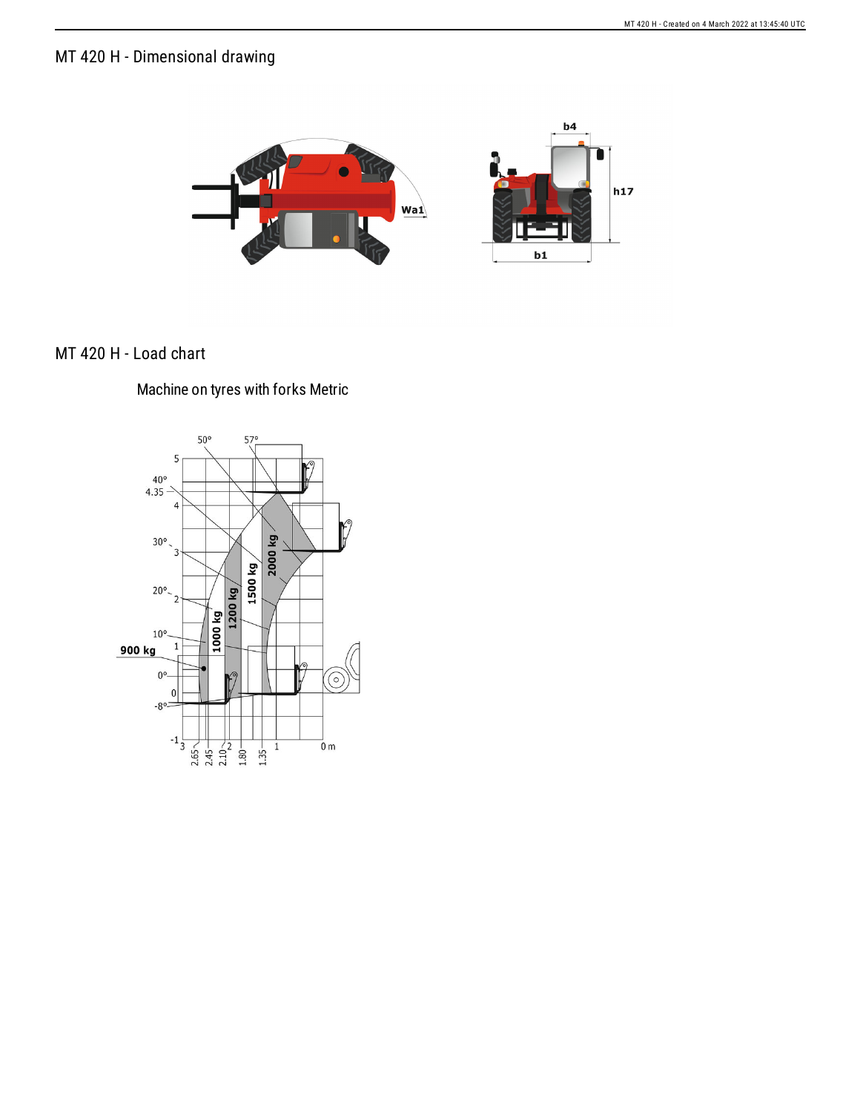## MT 420 H - Dimensional drawing



## MT 420 H - Load chart

Machine on tyres with forks Metric